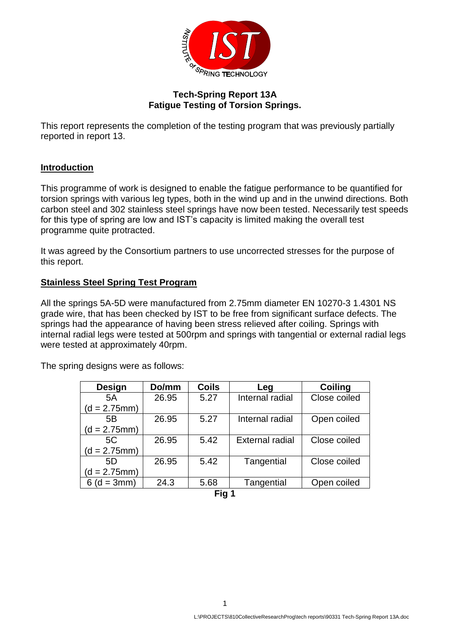

## **Tech-Spring Report 13A Fatigue Testing of Torsion Springs.**

This report represents the completion of the testing program that was previously partially reported in report 13.

## **Introduction**

This programme of work is designed to enable the fatigue performance to be quantified for torsion springs with various leg types, both in the wind up and in the unwind directions. Both carbon steel and 302 stainless steel springs have now been tested. Necessarily test speeds for this type of spring are low and IST's capacity is limited making the overall test programme quite protracted.

It was agreed by the Consortium partners to use uncorrected stresses for the purpose of this report.

## **Stainless Steel Spring Test Program**

All the springs 5A-5D were manufactured from 2.75mm diameter EN 10270-3 1.4301 NS grade wire, that has been checked by IST to be free from significant surface defects. The springs had the appearance of having been stress relieved after coiling. Springs with internal radial legs were tested at 500rpm and springs with tangential or external radial legs were tested at approximately 40rpm.

| <b>Design</b>  | Do/mm | <b>Coils</b> | Leg                    | <b>Coiling</b> |
|----------------|-------|--------------|------------------------|----------------|
| 5A             | 26.95 | 5.27         | Internal radial        | Close coiled   |
| $(d = 2.75mm)$ |       |              |                        |                |
| 5B             | 26.95 | 5.27         | Internal radial        | Open coiled    |
| $(d = 2.75mm)$ |       |              |                        |                |
| 5C             | 26.95 | 5.42         | <b>External radial</b> | Close coiled   |
| $(d = 2.75mm)$ |       |              |                        |                |
| 5D             | 26.95 | 5.42         | Tangential             | Close coiled   |
| $(d = 2.75mm)$ |       |              |                        |                |
| $6(d = 3mm)$   | 24.3  | 5.68         | Tangential             | Open coiled    |
|                |       | Fin 1        |                        |                |

The spring designs were as follows:

**Fig 1**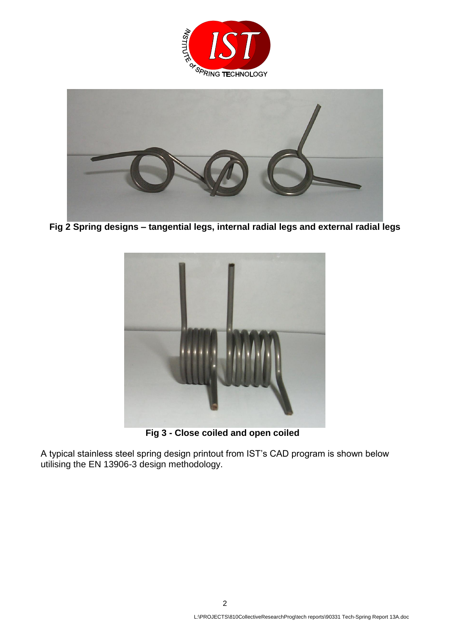



**Fig 2 Spring designs – tangential legs, internal radial legs and external radial legs**



 **Fig 3 - Close coiled and open coiled**

A typical stainless steel spring design printout from IST's CAD program is shown below utilising the EN 13906-3 design methodology.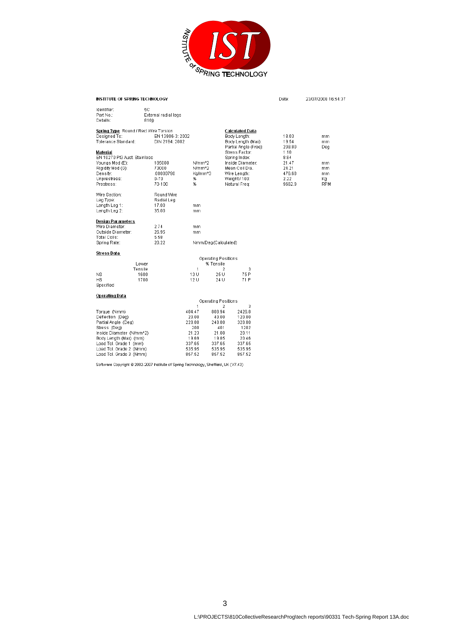

| INSTITUTE OF SPRING TECHNOLOGY                                                                                                                                                                                |                                            |                                                                                                  |                                                                                       |                                                                                         | Date:                                    | 23/07/2008 16:54:37          |
|---------------------------------------------------------------------------------------------------------------------------------------------------------------------------------------------------------------|--------------------------------------------|--------------------------------------------------------------------------------------------------|---------------------------------------------------------------------------------------|-----------------------------------------------------------------------------------------|------------------------------------------|------------------------------|
| Identifier:<br>Part No.:<br>Details:                                                                                                                                                                          | 5С<br>External radial legs<br>810j)        |                                                                                                  |                                                                                       |                                                                                         |                                          |                              |
| Spring Type Round / Rect Wire Torsion<br>Designed To:<br>Tolerance Standard:                                                                                                                                  | EN 13906-3: 2002<br>DIN 2194: 2002         |                                                                                                  |                                                                                       | Calculated Data<br>Body Length:<br>Body Length (Max):<br>Partial Angle (Free):          | 18.03<br>19.54<br>208.80                 | mm.<br>mm.<br>Deg            |
| Material<br>EN 10270 Pt3 Aust. Stainless<br>Youngs Mod (E):<br>Rigidity Mod (G):<br>Density:                                                                                                                  | 185000<br>73000<br>.00000790               | N/mm <sup>A2</sup><br>N/mm <sup>A2</sup><br>Ka/mm^3                                              |                                                                                       | Stress Factor:<br>Spring Index:<br>Inside Diameter:<br>Mean Coil Dia.                   | 1.10<br>8.84<br>21.47<br>24.21<br>476.68 | m <sub>m</sub><br>mm.<br>mm. |
| Unprestress:<br>Prestress:                                                                                                                                                                                    | $0 - 70$<br>70-100                         | %<br>%                                                                                           |                                                                                       | Wire Length:<br>Weight / 100:<br>Natural Freq:                                          | 2.22<br>9662.9                           | Кq<br><b>RPM</b>             |
| Wire Section:<br>Leg Type:<br>Length Leg 1:<br>Length Leg 2:                                                                                                                                                  | Round Wire<br>Radial Leg<br>17.00<br>35.00 | mm<br>mm                                                                                         |                                                                                       |                                                                                         |                                          |                              |
| <b>Design Parameters</b><br>Wire Diameter:<br>Outside Diameter:<br>Total Coils:<br>Spring Rate:                                                                                                               | 2.74<br>26.95<br>5.58<br>20.22             | mm<br>mm                                                                                         | Nmm/Deg(Calculated)                                                                   |                                                                                         |                                          |                              |
| Stress Data                                                                                                                                                                                                   |                                            |                                                                                                  |                                                                                       |                                                                                         |                                          |                              |
|                                                                                                                                                                                                               | Lower                                      |                                                                                                  | Operating Positions<br>% Tensile                                                      |                                                                                         |                                          |                              |
| NS.<br><b>HS</b><br>Specified                                                                                                                                                                                 | Tensile<br>1600<br>1700                    | $\mathbf{1}$<br>13 U<br>12U                                                                      | 2<br>25 U<br>24 U                                                                     | 3<br>75 P<br>71 P                                                                       |                                          |                              |
| Operating Data                                                                                                                                                                                                |                                            |                                                                                                  | Operating Positions                                                                   |                                                                                         |                                          |                              |
| Torque (Nmm)<br>Deflection (Deg)<br>Partial Angle (Deg)<br>Stress (Dea)<br>Inside Diameter (N/mm^2)<br>Body Length (Max) (mm)<br>Load Tol. Grade 1 (mm)<br>Load Tol. Grade 2 (Nmm)<br>Load Tol. Grade 3 (Nmm) |                                            | $\mathbf{1}$<br>404.47<br>20.00<br>228.80<br>200<br>21.23<br>19.69<br>337.65<br>535.95<br>857.52 | 2<br>808.94<br>40.00<br>248.80<br>401<br>21.00<br>19.85<br>337.65<br>535.95<br>857.52 | 3<br>2426.8<br>120.00<br>328.80<br>1202<br>20.11<br>20.46<br>337.65<br>535.95<br>857.52 |                                          |                              |

Software Copyright @ 2002-2007 Institute of Spring Technology, Sheffield, UK (V7.43)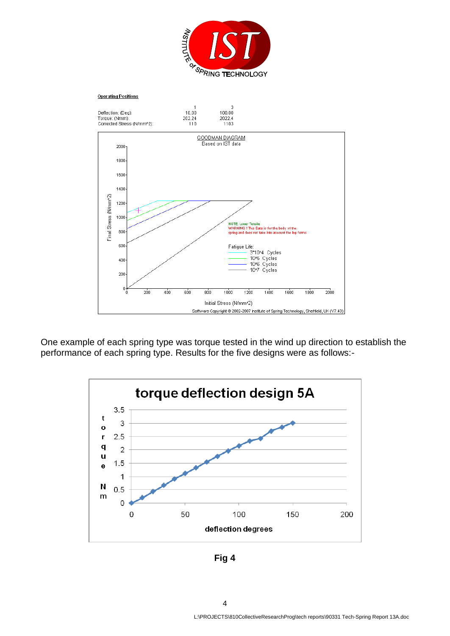



One example of each spring type was torque tested in the wind up direction to establish the performance of each spring type. Results for the five designs were as follows:-



**Fig 4** 

4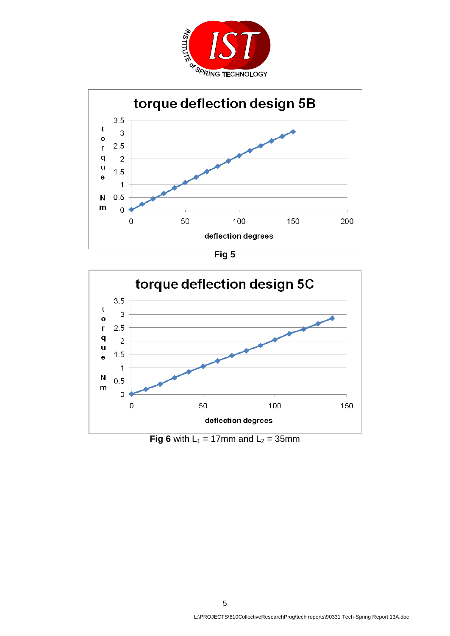



**Fig 5** 



**Fig 6** with  $L_1 = 17$ mm and  $L_2 = 35$ mm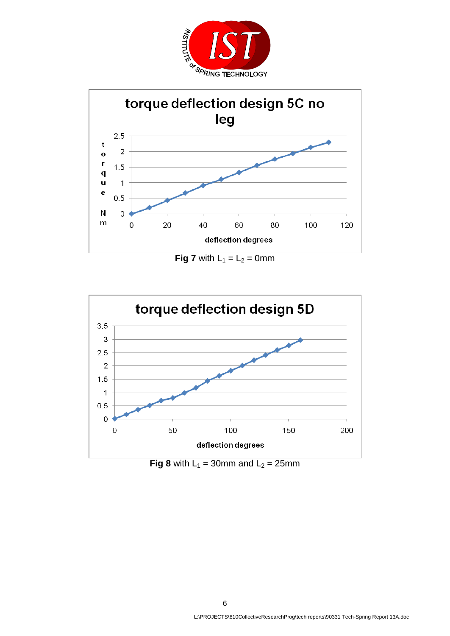



**Fig 7** with  $L_1 = L_2 = 0$  mm



**Fig 8** with  $L_1 = 30$ mm and  $L_2 = 25$ mm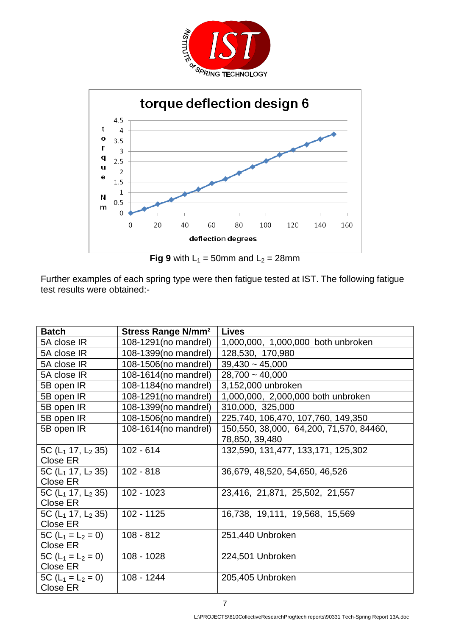



**Fig 9** with  $L_1 = 50$ mm and  $L_2 = 28$ mm

Further examples of each spring type were then fatigue tested at IST. The following fatigue test results were obtained:-

| <b>Batch</b>             | <b>Stress Range N/mm<sup>2</sup></b> | <b>Lives</b>                                |
|--------------------------|--------------------------------------|---------------------------------------------|
| 5A close IR              | 108-1291 (no mandrel)                | 1,000,000, 1,000,000 both unbroken          |
| 5A close IR              | 108-1399(no mandrel)                 | 128,530, 170,980                            |
| 5A close IR              | 108-1506(no mandrel)                 | $39,430 \sim 45,000$                        |
| 5A close IR              | 108-1614(no mandrel)                 | $28,700 - 40,000$                           |
| 5B open IR               | 108-1184(no mandrel)                 | 3,152,000 unbroken                          |
| 5B open IR               | 108-1291 (no mandrel)                | 1,000,000, 2,000,000 both unbroken          |
| 5B open IR               | 108-1399(no mandrel)                 | 310,000, 325,000                            |
| 5B open IR               | 108-1506(no mandrel)                 | 225,740, 106,470, 107,760, 149,350          |
| 5B open IR               | 108-1614(no mandrel)                 | 150, 550, 38, 000, 64, 200, 71, 570, 84460, |
|                          |                                      | 78,850, 39,480                              |
| 5C ( $L_1$ 17, $L_2$ 35) | $102 - 614$                          | 132,590, 131,477, 133,171, 125,302          |
| Close ER                 |                                      |                                             |
| 5C ( $L_1$ 17, $L_2$ 35) | $102 - 818$                          | 36,679, 48,520, 54,650, 46,526              |
| Close ER                 |                                      |                                             |
| 5C ( $L_1$ 17, $L_2$ 35) | $102 - 1023$                         | 23,416, 21,871, 25,502, 21,557              |
| <b>Close ER</b>          |                                      |                                             |
| 5C ( $L_1$ 17, $L_2$ 35) | 102 - 1125                           | 16,738, 19,111, 19,568, 15,569              |
| <b>Close ER</b>          |                                      |                                             |
| 5C $(L_1 = L_2 = 0)$     | $108 - 812$                          | 251,440 Unbroken                            |
| Close ER                 |                                      |                                             |
| 5C $(L_1 = L_2 = 0)$     | 108 - 1028                           | 224,501 Unbroken                            |
| Close ER                 |                                      |                                             |
| 5C ( $L_1 = L_2 = 0$ )   | 108 - 1244                           | 205,405 Unbroken                            |
| Close ER                 |                                      |                                             |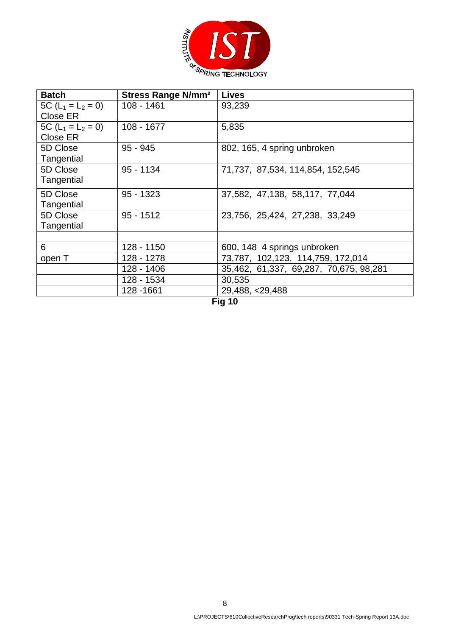

| <b>Batch</b>           | <b>Stress Range N/mm<sup>2</sup></b> | <b>Lives</b>                           |
|------------------------|--------------------------------------|----------------------------------------|
| 5C $(L_1 = L_2 = 0)$   | 108 - 1461                           | 93,239                                 |
| Close ER               |                                      |                                        |
| 5C ( $L_1 = L_2 = 0$ ) | 108 - 1677                           | 5,835                                  |
| Close ER               |                                      |                                        |
| 5D Close               | $95 - 945$                           | 802, 165, 4 spring unbroken            |
| Tangential             |                                      |                                        |
| 5D Close               | $95 - 1134$                          | 71,737, 87,534, 114,854, 152,545       |
| Tangential             |                                      |                                        |
| 5D Close               | $95 - 1323$                          | 37,582, 47,138, 58,117, 77,044         |
| Tangential             |                                      |                                        |
| 5D Close               | $95 - 1512$                          | 23,756, 25,424, 27,238, 33,249         |
| Tangential             |                                      |                                        |
|                        |                                      |                                        |
| 6                      | 128 - 1150                           | 600, 148 4 springs unbroken            |
| open T                 | 128 - 1278                           | 73,787, 102,123, 114,759, 172,014      |
|                        | 128 - 1406                           | 35,462, 61,337, 69,287, 70,675, 98,281 |
|                        | 128 - 1534                           | 30,535                                 |
|                        | 128 - 1661                           | 29,488, <29,488                        |

**Fig 10**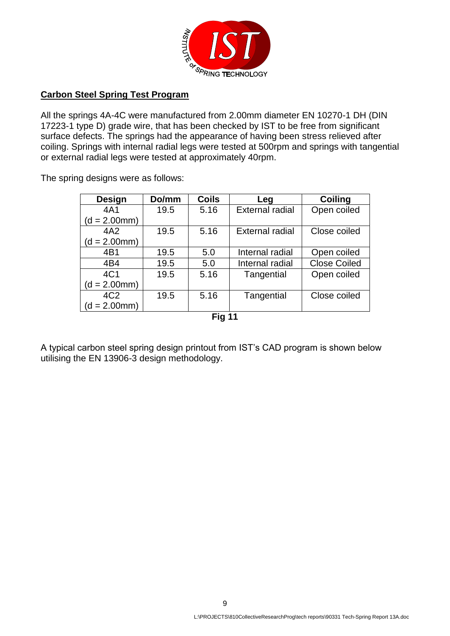

## **Carbon Steel Spring Test Program**

All the springs 4A-4C were manufactured from 2.00mm diameter EN 10270-1 DH (DIN 17223-1 type D) grade wire, that has been checked by IST to be free from significant surface defects. The springs had the appearance of having been stress relieved after coiling. Springs with internal radial legs were tested at 500rpm and springs with tangential or external radial legs were tested at approximately 40rpm.

The spring designs were as follows:

| <b>Design</b>   | Do/mm | <b>Coils</b> | Leg                    | <b>Coiling</b>      |
|-----------------|-------|--------------|------------------------|---------------------|
| 4A1             | 19.5  | 5.16         | <b>External radial</b> | Open coiled         |
| $(d = 2.00mm)$  |       |              |                        |                     |
| 4A2             | 19.5  | 5.16         | <b>External radial</b> | Close coiled        |
| $(d = 2.00mm)$  |       |              |                        |                     |
| 4B1             | 19.5  | 5.0          | Internal radial        | Open coiled         |
| 4B4             | 19.5  | 5.0          | Internal radial        | <b>Close Coiled</b> |
| 4C1             | 19.5  | 5.16         | Tangential             | Open coiled         |
| $(d = 2.00mm)$  |       |              |                        |                     |
| 4C <sub>2</sub> | 19.5  | 5.16         | Tangential             | Close coiled        |
| $(d = 2.00mm)$  |       |              |                        |                     |
|                 |       | F:. 44       |                        |                     |

**Fig 11**

A typical carbon steel spring design printout from IST's CAD program is shown below utilising the EN 13906-3 design methodology.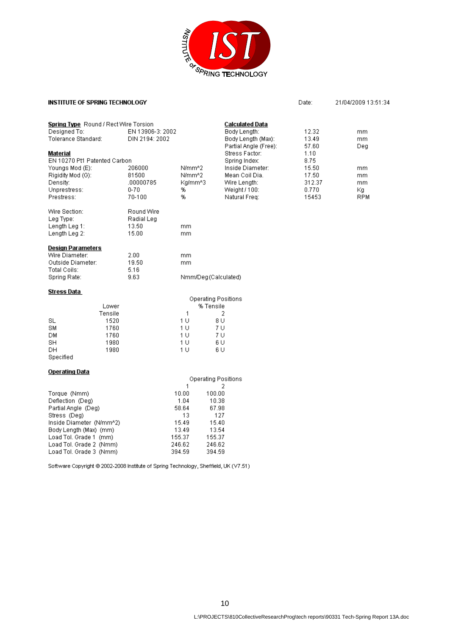

Date:

21/04/2009 13:51:34

#### **INSTITUTE OF SPRING TECHNOLOGY**

Load Tol. Grade 3 (Nmm)

| <b>Spring Type</b> Round / Rect Wire Torsion |                    |                                  | Calculated Data                             |                |                  |
|----------------------------------------------|--------------------|----------------------------------|---------------------------------------------|----------------|------------------|
| Designed To:                                 | EN 13906-3: 2002   |                                  | Body Length:                                | 12.32          | mm.              |
| Tolerance Standard:                          | DIN 2194: 2002     |                                  | Body Length (Max):<br>Partial Angle (Free): | 13.49<br>57.60 | mm<br>Deg        |
| Material                                     |                    |                                  | Stress Factor:                              | 1.10           |                  |
| EN 10270 Pt1 Patented Carbon                 |                    |                                  | Spring Index:                               | 8.75           |                  |
| Youngs Mod (E):                              | 206000             | N/mm^2                           | Inside Diameter:                            | 15.50          | mm.              |
| Rigidity Mod (G):                            | 81500              | N/mm^2                           | Mean Coil Dia.                              | 17.50          | mm               |
| Density:                                     | .00000785          | Ka/mm^3                          | Wire Length:                                | 312.37         | mm               |
| Unprestress:<br>Prestress:                   | $0 - 70$<br>70-100 | %<br>%                           | Weight / 100:<br>Natural Freq:              | 0.770<br>15453 | Кg<br><b>RPM</b> |
|                                              |                    |                                  |                                             |                |                  |
| Wire Section:                                | Round Wire         |                                  |                                             |                |                  |
| Leg Type:                                    | Radial Leg         |                                  |                                             |                |                  |
| Length Leg 1:                                | 13.50              | mm                               |                                             |                |                  |
| Length Leg 2:                                | 15.00              | mm                               |                                             |                |                  |
| Design Parameters                            |                    |                                  |                                             |                |                  |
| Wire Diameter:                               | 2.00               | mm.                              |                                             |                |                  |
| Outside Diameter:                            | 19.50              | mm                               |                                             |                |                  |
| Total Coils:                                 | 5.16               |                                  |                                             |                |                  |
| Spring Rate:                                 | 9.63               |                                  | Nmm/Deg(Calculated)                         |                |                  |
| Stress Data                                  |                    |                                  |                                             |                |                  |
|                                              |                    |                                  | <b>Operating Positions</b>                  |                |                  |
| Lower                                        |                    |                                  | % Tensile                                   |                |                  |
| Tensile                                      |                    | 1                                | 2                                           |                |                  |
| <b>SL</b><br>1520                            |                    | 1 <sub>U</sub>                   | 8 U                                         |                |                  |
| 1760<br>SM                                   |                    | 1 <sub>U</sub>                   | 7 U                                         |                |                  |
| 1760<br>DМ<br>SH<br>1980                     |                    | 1 <sup>U</sup><br>1 <sub>U</sub> | 7 U<br>6 U                                  |                |                  |
| DН<br>1980                                   |                    | 1 <sub>U</sub>                   | 6 U                                         |                |                  |
| Specified                                    |                    |                                  |                                             |                |                  |
|                                              |                    |                                  |                                             |                |                  |
| <b>Operating Data</b>                        |                    |                                  |                                             |                |                  |
|                                              |                    | 1                                | <b>Operating Positions</b><br>2             |                |                  |
| Torque (Nmm)                                 |                    | 10.00                            | 100.00                                      |                |                  |
| Deflection (Deg)                             |                    | 1.04                             | 10.38                                       |                |                  |
| Partial Angle (Deg)                          |                    | 58.64                            | 67.98                                       |                |                  |
| Stress (Deg)                                 |                    | 13                               | 127                                         |                |                  |
| Inside Diameter (N/mm^2)                     |                    | 15.49                            | 15.40                                       |                |                  |
| Body Length (Max) (mm)                       |                    | 13.49                            | 13.54                                       |                |                  |
| Load Tol. Grade 1 (mm)                       |                    | 155.37                           | 155.37                                      |                |                  |
| Load Tol. Grade 2 (Nmm)                      |                    | 246.62                           | 246.62                                      |                |                  |

Software Copyright @ 2002-2008 Institute of Spring Technology, Sheffield, UK (V7.51)

394.59

394.59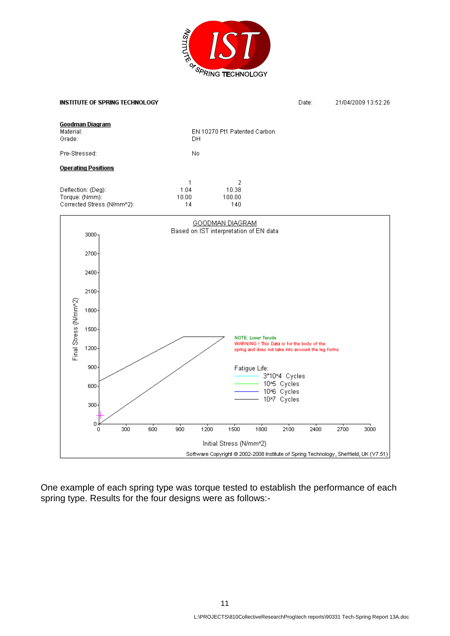

### **INSTITUTE OF SPRING TECHNOLOGY**

Date: 21/04/2009 13:52:26

| Goodman Diagram<br>Material:<br>Grade: |          |                            |     | DH                       |      | EN 10270 Pt1 Patented Carbon           |                            |                                                                                                   |      |      |                                                                                      |
|----------------------------------------|----------|----------------------------|-----|--------------------------|------|----------------------------------------|----------------------------|---------------------------------------------------------------------------------------------------|------|------|--------------------------------------------------------------------------------------|
| Pre-Stressed:                          |          |                            |     | No                       |      |                                        |                            |                                                                                                   |      |      |                                                                                      |
| <b>Operating Positions</b>             |          |                            |     |                          |      |                                        |                            |                                                                                                   |      |      |                                                                                      |
| Deflection: (Deg):<br>Torque: (Nmm):   |          | Corrected Stress (N/mm^2): |     | 1<br>1.04<br>10.00<br>14 |      | 2<br>10.38<br>100.00<br>140            |                            |                                                                                                   |      |      |                                                                                      |
|                                        |          |                            |     |                          |      | GOODMAN DIAGRAM                        |                            |                                                                                                   |      |      |                                                                                      |
|                                        | $3000 -$ |                            |     |                          |      | Based on IST interpretation of EN data |                            |                                                                                                   |      |      |                                                                                      |
|                                        | 2700-    |                            |     |                          |      |                                        |                            |                                                                                                   |      |      |                                                                                      |
|                                        | 2400-    |                            |     |                          |      |                                        |                            |                                                                                                   |      |      |                                                                                      |
|                                        | $2100 -$ |                            |     |                          |      |                                        |                            |                                                                                                   |      |      |                                                                                      |
|                                        | 1800     |                            |     |                          |      |                                        |                            |                                                                                                   |      |      |                                                                                      |
|                                        | $1500 -$ |                            |     |                          |      |                                        |                            |                                                                                                   |      |      |                                                                                      |
| Final Stress (N/mm^2)                  | $1200 -$ |                            |     |                          |      |                                        | <b>NOTE: Lower Tensile</b> | WARNING ! This Data is for the body of the<br>spring and does not take into account the leg forms |      |      |                                                                                      |
|                                        | $900 -$  |                            |     |                          |      |                                        | Fatigue Life:              | 3*10^4 Cycles                                                                                     |      |      |                                                                                      |
|                                        | 600-     |                            |     |                          |      |                                        |                            | 10% Cycles<br>10% Cycles                                                                          |      |      |                                                                                      |
|                                        | $300 -$  |                            |     |                          |      |                                        |                            | 10^7 Cycles                                                                                       |      |      |                                                                                      |
|                                        | 0<br>0   | 300                        | 600 | 900                      | 1200 | 1500                                   | 1800                       | 2100                                                                                              | 2400 | 2700 | 3000                                                                                 |
|                                        |          |                            |     |                          |      | Initial Stress (N/mm^2)                |                            |                                                                                                   |      |      |                                                                                      |
|                                        |          |                            |     |                          |      |                                        |                            |                                                                                                   |      |      | Software Copyright @ 2002-2008 Institute of Spring Technology, Sheffield, UK (V7.51) |

One example of each spring type was torque tested to establish the performance of each spring type. Results for the four designs were as follows:-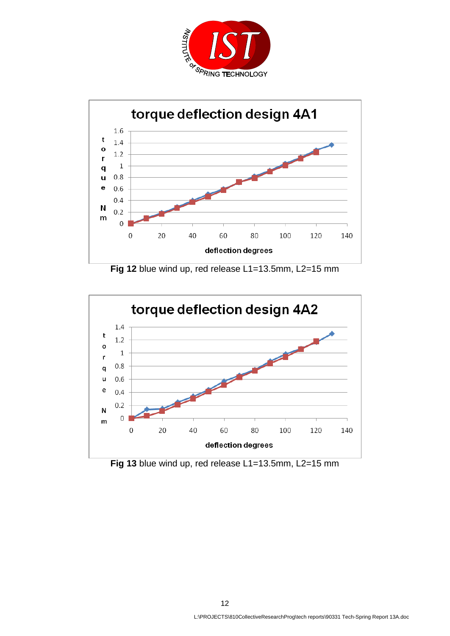



Fig 12 blue wind up, red release L1=13.5mm, L2=15 mm



Fig 13 blue wind up, red release L1=13.5mm, L2=15 mm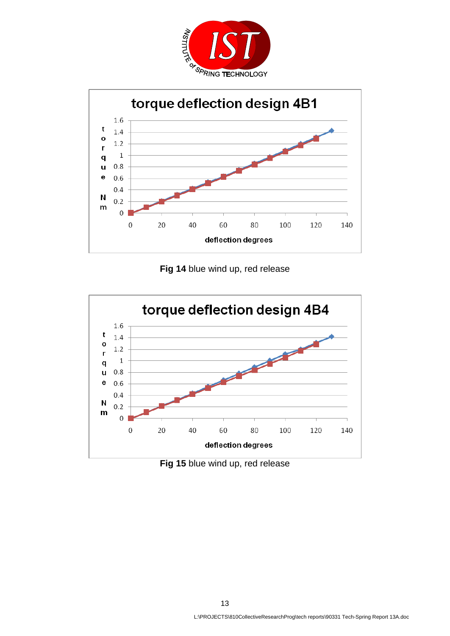



**Fig 14** blue wind up, red release



**Fig 15** blue wind up, red release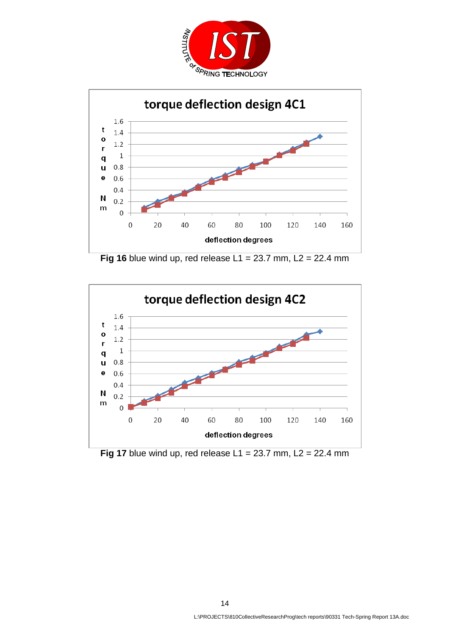



**Fig 16** blue wind up, red release  $L1 = 23.7$  mm,  $L2 = 22.4$  mm



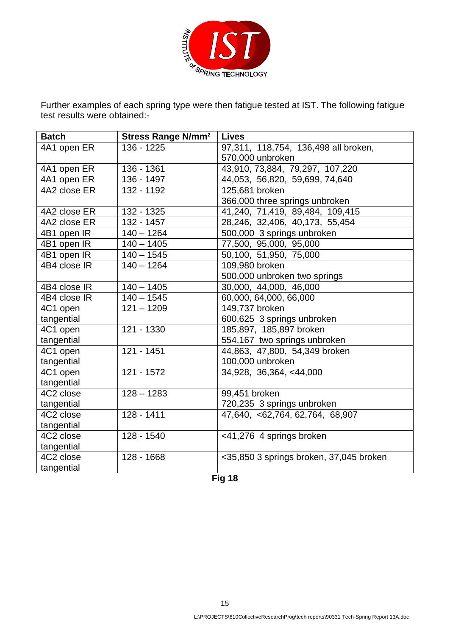

Further examples of each spring type were then fatigue tested at IST. The following fatigue test results were obtained:-

| <b>Batch</b> | <b>Stress Range N/mm<sup>2</sup></b> | <b>Lives</b>                            |
|--------------|--------------------------------------|-----------------------------------------|
| 4A1 open ER  | 136 - 1225                           | 97,311, 118,754, 136,498 all broken,    |
|              |                                      | 570,000 unbroken                        |
| 4A1 open ER  | 136 - 1361                           | 43,910, 73,884, 79,297, 107,220         |
| 4A1 open ER  | 136 - 1497                           | 44,053, 56,820, 59,699, 74,640          |
| 4A2 close ER | 132 - 1192                           | 125,681 broken                          |
|              |                                      | 366,000 three springs unbroken          |
| 4A2 close ER | 132 - 1325                           | 41,240, 71,419, 89,484, 109,415         |
| 4A2 close ER | 132 - 1457                           | 28,246, 32,406, 40,173, 55,454          |
| 4B1 open IR  | $140 - 1264$                         | 500,000 3 springs unbroken              |
| 4B1 open IR  | $140 - 1405$                         | 77,500, 95,000, 95,000                  |
| 4B1 open IR  | $140 - 1545$                         | 50,100, 51,950, 75,000                  |
| 4B4 close IR | $140 - 1264$                         | 109,980 broken                          |
|              |                                      | 500,000 unbroken two springs            |
| 4B4 close IR | $140 - 1405$                         | 30,000, 44,000, 46,000                  |
| 4B4 close IR | $140 - 1545$                         | 60,000, 64,000, 66,000                  |
| 4C1 open     | $121 - 1209$                         | 149,737 broken                          |
| tangential   |                                      | 600,625 3 springs unbroken              |
| 4C1 open     | 121 - 1330                           | 185,897, 185,897 broken                 |
| tangential   |                                      | 554,167 two springs unbroken            |
| 4C1 open     | 121 - 1451                           | 44,863, 47,800, 54,349 broken           |
| tangential   |                                      | 100,000 unbroken                        |
| 4C1 open     | 121 - 1572                           | 34,928, 36,364, <44,000                 |
| tangential   |                                      |                                         |
| 4C2 close    | $128 - 1283$                         | 99,451 broken                           |
| tangential   |                                      | 720,235 3 springs unbroken              |
| 4C2 close    | 128 - 1411                           | 47,640, <62,764, 62,764, 68,907         |
| tangential   |                                      |                                         |
| 4C2 close    | 128 - 1540                           | <41,276 4 springs broken                |
| tangential   |                                      |                                         |
| 4C2 close    | 128 - 1668                           | <35,850 3 springs broken, 37,045 broken |
| tangential   |                                      | <b>FL.40</b>                            |

**Fig 18**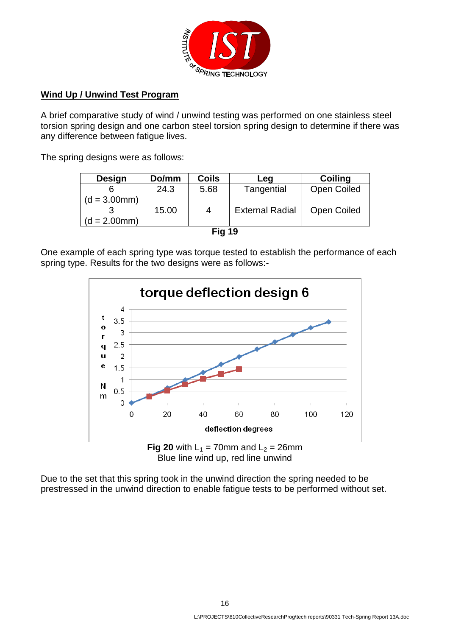

## **Wind Up / Unwind Test Program**

A brief comparative study of wind / unwind testing was performed on one stainless steel torsion spring design and one carbon steel torsion spring design to determine if there was any difference between fatigue lives.

The spring designs were as follows:

| <b>Design</b>  | Do/mm | <b>Coils</b> | Leg                    | <b>Coiling</b>     |
|----------------|-------|--------------|------------------------|--------------------|
|                | 24.3  | 5.68         | Tangential             | <b>Open Coiled</b> |
| $(d = 3.00mm)$ |       |              |                        |                    |
|                | 15.00 | 4            | <b>External Radial</b> | <b>Open Coiled</b> |
| $(d = 2.00mm)$ |       |              |                        |                    |
|                |       |              | . .                    |                    |

|  | ۰. |
|--|----|
|  |    |

One example of each spring type was torque tested to establish the performance of each spring type. Results for the two designs were as follows:-



Blue line wind up, red line unwind

Due to the set that this spring took in the unwind direction the spring needed to be prestressed in the unwind direction to enable fatigue tests to be performed without set.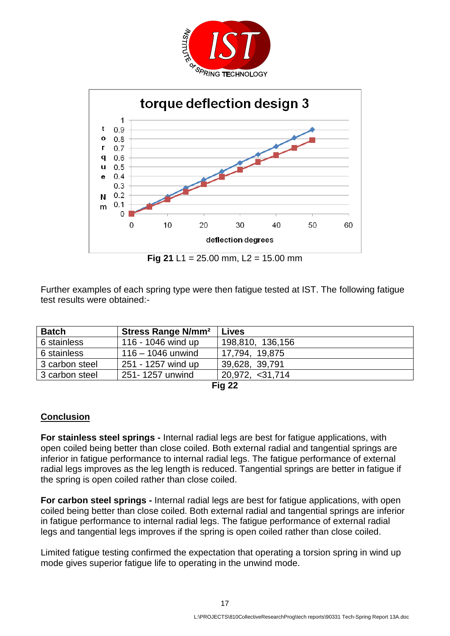



**Fig 21 L1 = 25.00 mm, L2 = 15.00 mm** 

Further examples of each spring type were then fatigue tested at IST. The following fatigue test results were obtained:-

| <b>Batch</b>   | Stress Range N/mm <sup>2</sup> | <b>Lives</b>     |  |  |
|----------------|--------------------------------|------------------|--|--|
| 6 stainless    | 116 - 1046 wind up             | 198,810, 136,156 |  |  |
| 6 stainless    | $116 - 1046$ unwind            | 17,794, 19,875   |  |  |
| 3 carbon steel | 251 - 1257 wind up             | 39,628, 39,791   |  |  |
| 3 carbon steel | 251-1257 unwind                | 20,972, <31,714  |  |  |
| <b>Fig 22</b>  |                                |                  |  |  |

# **Conclusion**

**For stainless steel springs -** Internal radial legs are best for fatigue applications, with open coiled being better than close coiled. Both external radial and tangential springs are inferior in fatigue performance to internal radial legs. The fatigue performance of external radial legs improves as the leg length is reduced. Tangential springs are better in fatigue if the spring is open coiled rather than close coiled.

**For carbon steel springs -** Internal radial legs are best for fatigue applications, with open coiled being better than close coiled. Both external radial and tangential springs are inferior in fatigue performance to internal radial legs. The fatigue performance of external radial legs and tangential legs improves if the spring is open coiled rather than close coiled.

Limited fatigue testing confirmed the expectation that operating a torsion spring in wind up mode gives superior fatigue life to operating in the unwind mode.